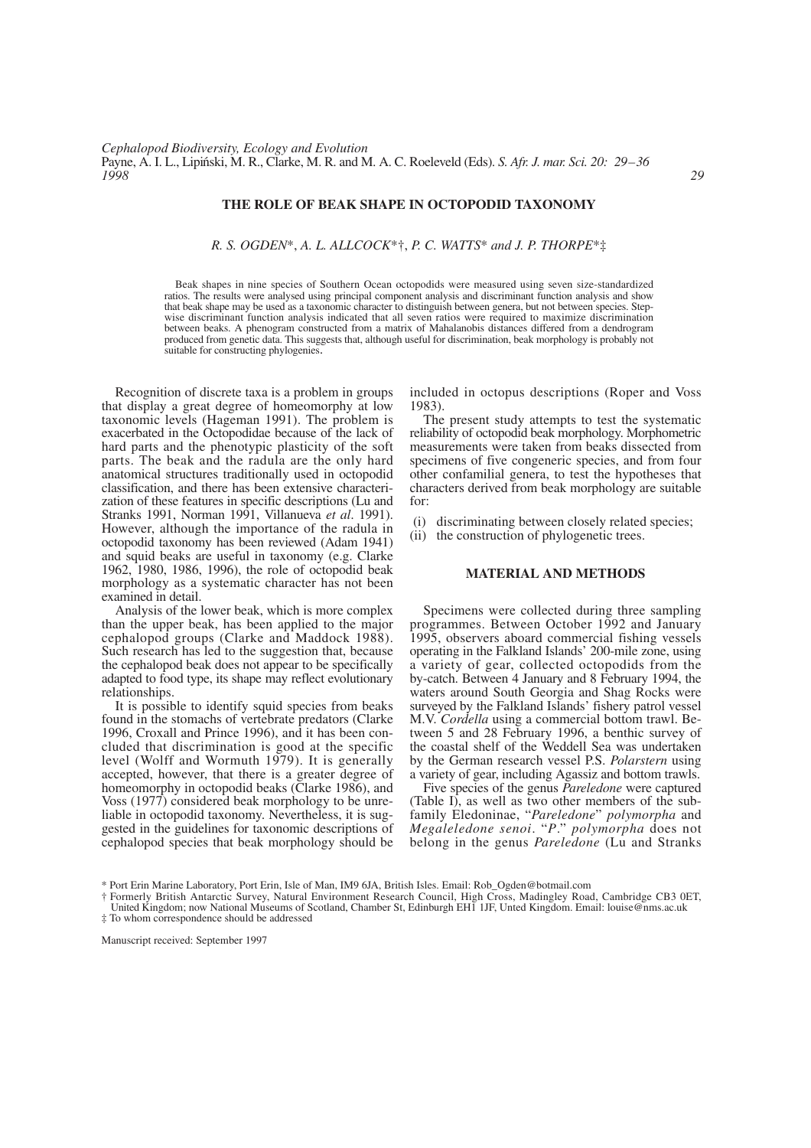*Cephalopod Biodiversity, Ecology and Evolution*

Payne, A. I. L., Lipiński, M. R., Clarke, M. R. and M. A. C. Roeleveld (Eds). *S. Afr. J. mar. Sci. 20: 29–36*<br>1998 *1998 29*

#### **THE ROLE OF BEAK SHAPE IN OCTOPODID TAXONOMY**

## *R. S. OGDEN*\*, *A. L. ALLCOCK*\*†, *P. C. WATTS*\* *and J. P. THORPE*\*‡

Beak shapes in nine species of Southern Ocean octopodids were measured using seven size-standardized ratios. The results were analysed using principal component analysis and discriminant function analysis and show that beak shape may be used as a taxonomic character to distinguish between genera, but not between species. Stepwise discriminant function analysis indicated that all seven ratios were required to maximize discrimination between beaks. A phenogram constructed from a matrix of Mahalanobis distances differed from a dendrogram produced from genetic data. This suggests that, although useful for discrimination, beak morphology is probably not suitable for constructing phylogenies.

Recognition of discrete taxa is a problem in groups that display a great degree of homeomorphy at low taxonomic levels (Hageman 1991). The problem is exacerbated in the Octopodidae because of the lack of hard parts and the phenotypic plasticity of the soft parts. The beak and the radula are the only hard anatomical structures traditionally used in octopodid classification, and there has been extensive characterization of these features in specific descriptions (Lu and Stranks 1991, Norman 1991, Villanueva *et al*. 1991). However, although the importance of the radula in octopodid taxonomy has been reviewed (Adam 1941) and squid beaks are useful in taxonomy (e.g. Clarke 1962, 1980, 1986, 1996), the role of octopodid beak morphology as a systematic character has not been examined in detail.

Analysis of the lower beak, which is more complex than the upper beak, has been applied to the major cephalopod groups (Clarke and Maddock 1988). Such research has led to the suggestion that, because the cephalopod beak does not appear to be specifically adapted to food type, its shape may reflect evolutionary relationships.

It is possible to identify squid species from beaks found in the stomachs of vertebrate predators (Clarke 1996, Croxall and Prince 1996), and it has been concluded that discrimination is good at the specific level (Wolff and Wormuth 1979). It is generally accepted, however, that there is a greater degree of homeomorphy in octopodid beaks (Clarke 1986), and Voss (1977) considered beak morphology to be unreliable in octopodid taxonomy. Nevertheless, it is suggested in the guidelines for taxonomic descriptions of cephalopod species that beak morphology should be included in octopus descriptions (Roper and Voss 1983).

The present study attempts to test the systematic reliability of octopodid beak morphology. Morphometric measurements were taken from beaks dissected from specimens of five congeneric species, and from four other confamilial genera, to test the hypotheses that characters derived from beak morphology are suitable for:

(i) discriminating between closely related species;

(ii) the construction of phylogenetic trees.

#### **MATERIAL AND METHODS**

Specimens were collected during three sampling programmes. Between October 1992 and January 1995, observers aboard commercial fishing vessels operating in the Falkland Islands' 200-mile zone, using a variety of gear, collected octopodids from the by-catch. Between 4 January and 8 February 1994, the waters around South Georgia and Shag Rocks were surveyed by the Falkland Islands' fishery patrol vessel M.V. *Cordella* using a commercial bottom trawl. Between 5 and 28 February 1996, a benthic survey of the coastal shelf of the Weddell Sea was undertaken by the German research vessel P.S. *Polarstern* using a variety of gear, including Agassiz and bottom trawls.

Five species of the genus *Pareledone* were captured (Table I), as well as two other members of the subfamily Eledoninae, "*Pareledone*" *polymorpha* and *Megaleledone senoi*. "*P*." *polymorpha* does not belong in the genus *Pareledone* (Lu and Stranks

Manuscript received: September 1997

<sup>\*</sup> Port Erin Marine Laboratory, Port Erin, Isle of Man, IM9 6JA, British Isles. Email: Rob\_Ogden@botmail.com

<sup>†</sup> Formerly British Antarctic Survey, Natural Environment Research Council, High Cross, Madingley Road, Cambridge CB3 0ET, United Kingdom; now National Museums of Scotland, Chamber St, Edinburgh EH1 1JF, Unted Kingdom. Email: louise@nms.ac.uk ‡ To whom correspondence should be addressed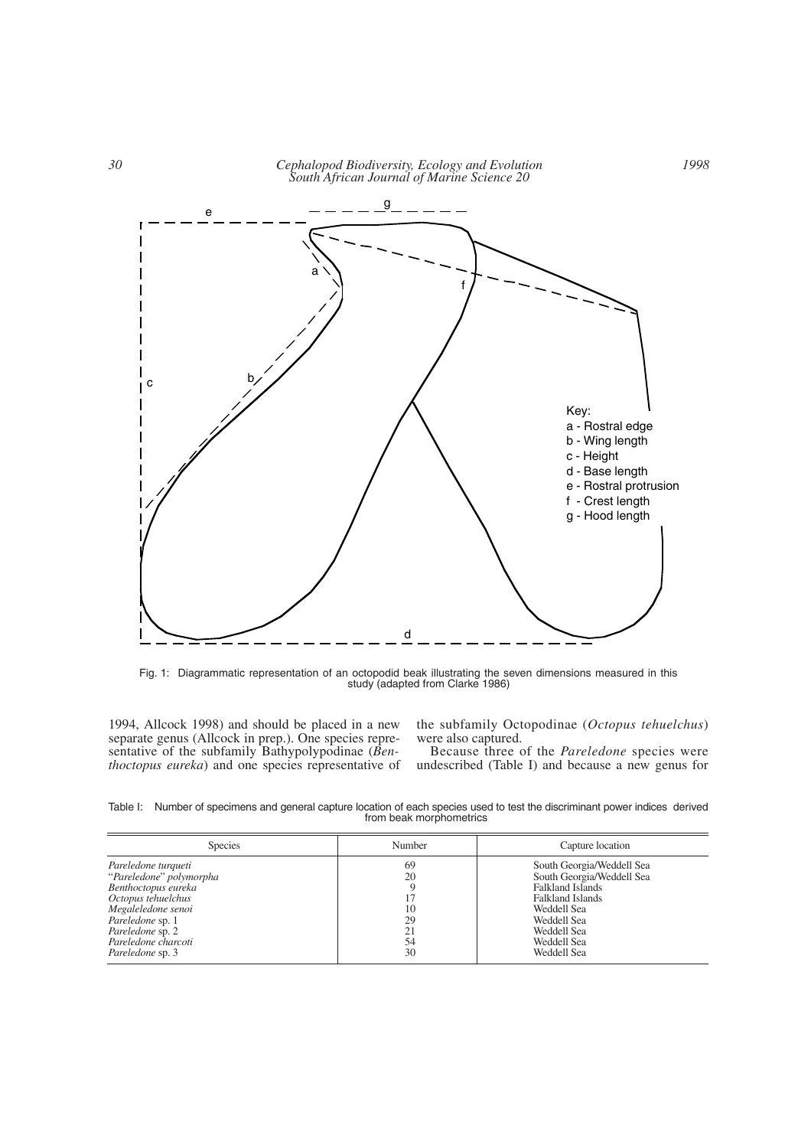

Fig. 1: Diagrammatic representation of an octopodid beak illustrating the seven dimensions measured in this study (adapted from Clarke 1986)

1994, Allcock 1998) and should be placed in a new separate genus (Allcock in prep.). One species representative of the subfamily Bathypolypodinae (*Benthoctopus eureka*) and one species representative of the subfamily Octopodinae (*Octopus tehuelchus*) were also captured.

Because three of the *Pareledone* species were undescribed (Table I) and because a new genus for

Table I: Number of specimens and general capture location of each species used to test the discriminant power indices derived from beak morphometrics

| <b>Species</b>                                                                                                                                                                                       | Number                                 | Capture location                                                                                                                                                                        |  |  |  |
|------------------------------------------------------------------------------------------------------------------------------------------------------------------------------------------------------|----------------------------------------|-----------------------------------------------------------------------------------------------------------------------------------------------------------------------------------------|--|--|--|
| Pareledone turqueti<br>"Pareledone" polymorpha<br>Benthoctopus eureka<br>Octopus tehuelchus<br>Megaleledone senoi<br>Pareledone sp. 1<br>Pareledone sp. 2<br>Pareledone charcoti<br>Pareledone sp. 3 | 69<br>20<br>10<br>29<br>21<br>54<br>30 | South Georgia/Weddell Sea<br>South Georgia/Weddell Sea<br><b>Falkland Islands</b><br><b>Falkland Islands</b><br>Weddell Sea<br>Weddell Sea<br>Weddell Sea<br>Weddell Sea<br>Weddell Sea |  |  |  |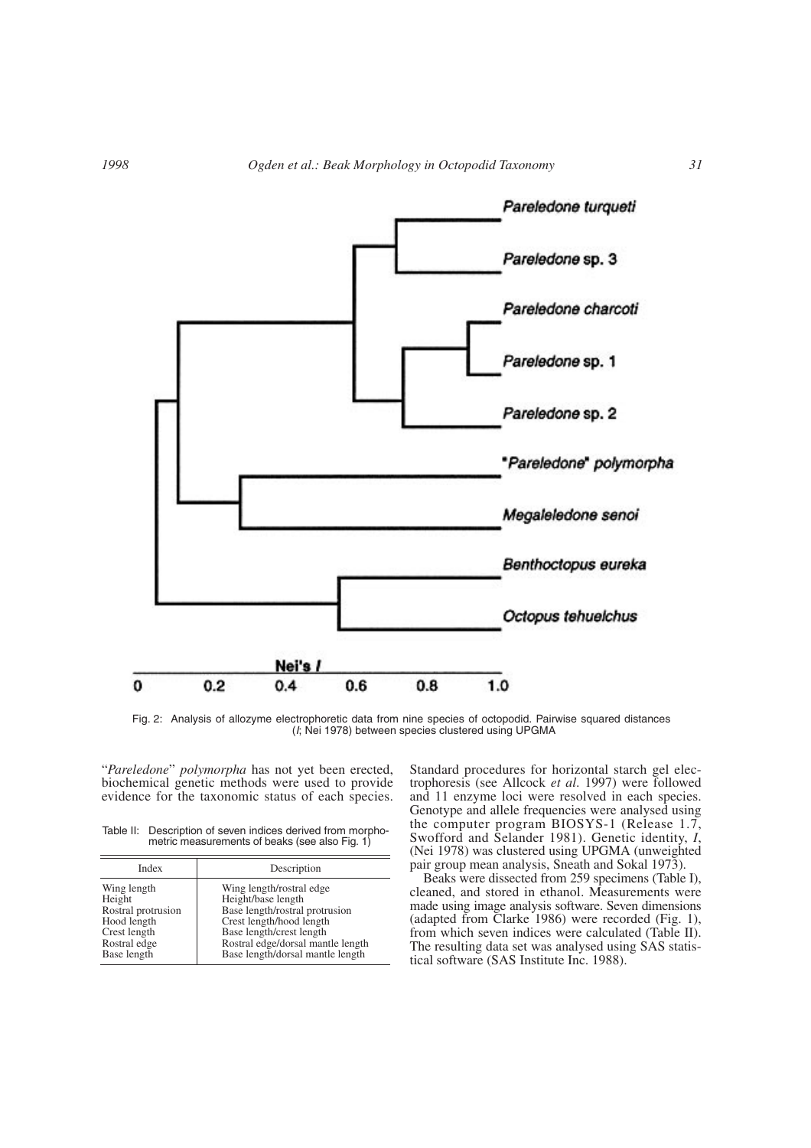

Fig. 2: Analysis of allozyme electrophoretic data from nine species of octopodid. Pairwise squared distances (*I*; Nei 1978) between species clustered using UPGMA

"*Pareledone*" *polymorpha* has not yet been erected, biochemical genetic methods were used to provide evidence for the taxonomic status of each species.

Table II: Description of seven indices derived from morphometric measurements of beaks (see also Fig. 1)

| Index              | Description                       |
|--------------------|-----------------------------------|
| Wing length        | Wing length/rostral edge          |
| Height             | Height/base length                |
| Rostral protrusion | Base length/rostral protrusion    |
| Hood length        | Crest length/hood length          |
| Crest length       | Base length/crest length          |
| Rostral edge       | Rostral edge/dorsal mantle length |
| Base length        | Base length/dorsal mantle length  |

Standard procedures for horizontal starch gel electrophoresis (see Allcock *et al*. 1997) were followed and 11 enzyme loci were resolved in each species. Genotype and allele frequencies were analysed using the computer program BIOSYS-1 (Release 1.7, Swofford and Selander 1981). Genetic identity, *I*, (Nei 1978) was clustered using UPGMA (unweighted pair group mean analysis, Sneath and Sokal 1973).

Beaks were dissected from 259 specimens (Table I), cleaned, and stored in ethanol. Measurements were made using image analysis software. Seven dimensions (adapted from Clarke 1986) were recorded (Fig. 1), from which seven indices were calculated (Table II). The resulting data set was analysed using SAS statistical software (SAS Institute Inc. 1988).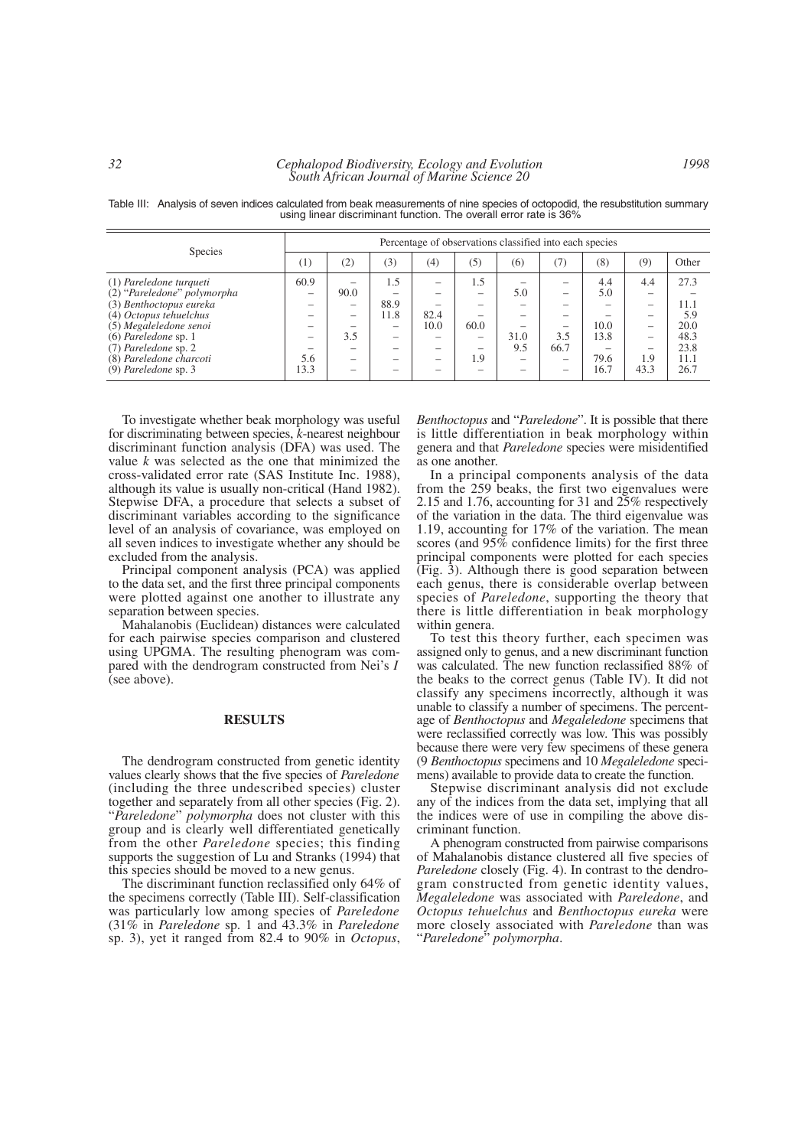Table III: Analysis of seven indices calculated from beak measurements of nine species of octopodid, the resubstitution summary using linear discriminant function. The overall error rate is 36%

| Species                     | Percentage of observations classified into each species |                          |      |                          |                          |                          |      |      |                          |       |
|-----------------------------|---------------------------------------------------------|--------------------------|------|--------------------------|--------------------------|--------------------------|------|------|--------------------------|-------|
|                             | (1)                                                     | (2)                      | (3)  | (4)                      | (5)                      | (6)                      | (7)  | (8)  | (9)                      | Other |
| (1) Pareledone turqueti     | 60.9                                                    |                          | 1.5  |                          | 1.5                      |                          |      | 4.4  | 4.4                      | 27.3  |
| (2) "Pareledone" polymorpha | $\overline{\phantom{a}}$                                | 90.0                     |      | $\overline{\phantom{a}}$ | -                        | 5.0                      | -    | 5.0  | $\overline{\phantom{a}}$ |       |
| (3) Benthoctopus eureka     |                                                         |                          | 88.9 |                          |                          |                          |      |      | $\overline{\phantom{a}}$ | 11.1  |
| (4) Octopus tehuelchus      |                                                         | $\overline{\phantom{a}}$ | 11.8 | 82.4                     |                          |                          |      |      | $\overline{\phantom{a}}$ | 5.9   |
| (5) Megaleledone senoi      | $\overline{\phantom{a}}$                                |                          |      | 10.0                     | 60.0                     |                          | -    | 10.0 | $\overline{\phantom{0}}$ | 20.0  |
| $(6)$ Pareledone sp. 1      |                                                         | 3.5                      |      | $\overline{\phantom{a}}$ | $\overline{\phantom{a}}$ | 31.0                     | 3.5  | 13.8 | $\overline{\phantom{a}}$ | 48.3  |
| $(7)$ Pareledone sp. 2      |                                                         |                          |      | $\overline{\phantom{a}}$ | $\overline{\phantom{a}}$ | 9.5                      | 66.7 | -    |                          | 23.8  |
| (8) Pareledone charcoti     | 5.6                                                     |                          |      | $\overline{\phantom{a}}$ | 1.9                      | $\overline{\phantom{a}}$ | -    | 79.6 | 1.9                      | 11.1  |
| $(9)$ Pareledone sp. 3      | 13.3                                                    |                          |      |                          |                          |                          | -    | 16.7 | 43.3                     | 26.7  |

To investigate whether beak morphology was useful for discriminating between species, *k*-nearest neighbour discriminant function analysis (DFA) was used. The value *k* was selected as the one that minimized the cross-validated error rate (SAS Institute Inc. 1988), although its value is usually non-critical (Hand 1982). Stepwise DFA, a procedure that selects a subset of discriminant variables according to the significance level of an analysis of covariance, was employed on all seven indices to investigate whether any should be excluded from the analysis.

Principal component analysis (PCA) was applied to the data set, and the first three principal components were plotted against one another to illustrate any separation between species.

Mahalanobis (Euclidean) distances were calculated for each pairwise species comparison and clustered using UPGMA. The resulting phenogram was compared with the dendrogram constructed from Nei's *I* (see above).

#### **RESULTS**

The dendrogram constructed from genetic identity values clearly shows that the five species of *Pareledone* (including the three undescribed species) cluster together and separately from all other species (Fig. 2). "*Pareledone*" *polymorpha* does not cluster with this group and is clearly well differentiated genetically from the other *Pareledone* species; this finding supports the suggestion of Lu and Stranks (1994) that this species should be moved to a new genus.

The discriminant function reclassified only 64% of the specimens correctly (Table III). Self-classification was particularly low among species of *Pareledone* (31% in *Pareledone* sp. 1 and 43.3% in *Pareledone* sp. 3), yet it ranged from 82.4 to 90% in *Octopus*, *Benthoctopus* and "*Pareledone*". It is possible that there is little differentiation in beak morphology within genera and that *Pareledone* species were misidentified as one another.

In a principal components analysis of the data from the 259 beaks, the first two eigenvalues were 2.15 and 1.76, accounting for 31 and 25% respectively of the variation in the data. The third eigenvalue was 1.19, accounting for 17% of the variation. The mean scores (and  $95\%$  confidence limits) for the first three principal components were plotted for each species (Fig. 3). Although there is good separation between each genus, there is considerable overlap between species of *Pareledone*, supporting the theory that there is little differentiation in beak morphology within genera.

To test this theory further, each specimen was assigned only to genus, and a new discriminant function was calculated. The new function reclassified 88% of the beaks to the correct genus (Table IV). It did not classify any specimens incorrectly, although it was unable to classify a number of specimens. The percentage of *Benthoctopus* and *Megaleledone* specimens that were reclassified correctly was low. This was possibly because there were very few specimens of these genera (9 *Benthoctopus* specimens and 10 *Megaleledone* specimens) available to provide data to create the function.

Stepwise discriminant analysis did not exclude any of the indices from the data set, implying that all the indices were of use in compiling the above discriminant function.

A phenogram constructed from pairwise comparisons of Mahalanobis distance clustered all five species of *Pareledone* closely (Fig. 4). In contrast to the dendrogram constructed from genetic identity values, *Megaleledone* was associated with *Pareledone*, and *Octopus tehuelchus* and *Benthoctopus eureka* were more closely associated with *Pareledone* than was "*Pareledone*" *polymorpha*.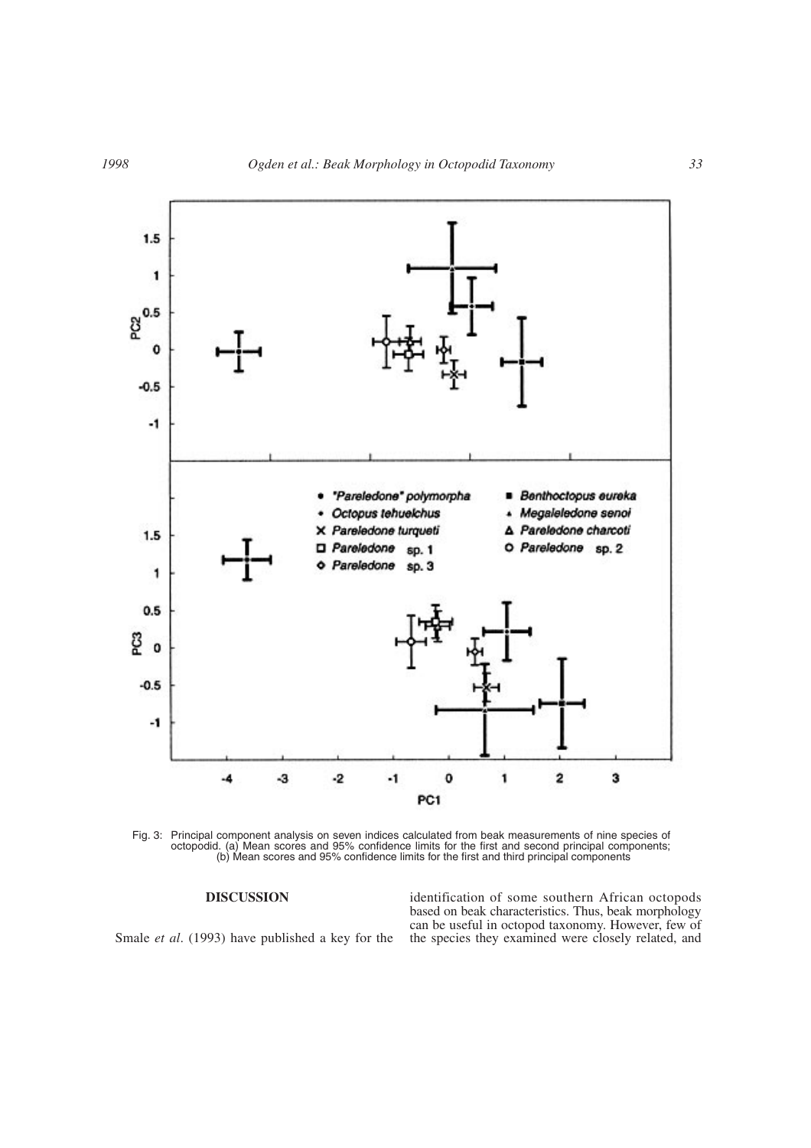

Fig. 3: Principal component analysis on seven indices calculated from beak measurements of nine species of octopodid. (a) Mean scores and 95% confidence limits for the first and second principal components; (b) Mean scores and 95% confidence limits for the first and third principal components

# **DISCUSSION**

Smale *et al*. (1993) have published a key for the

identification of some southern African octopods based on beak characteristics. Thus, beak morphology can be useful in octopod taxonomy. However, few of the species they examined were closely related, and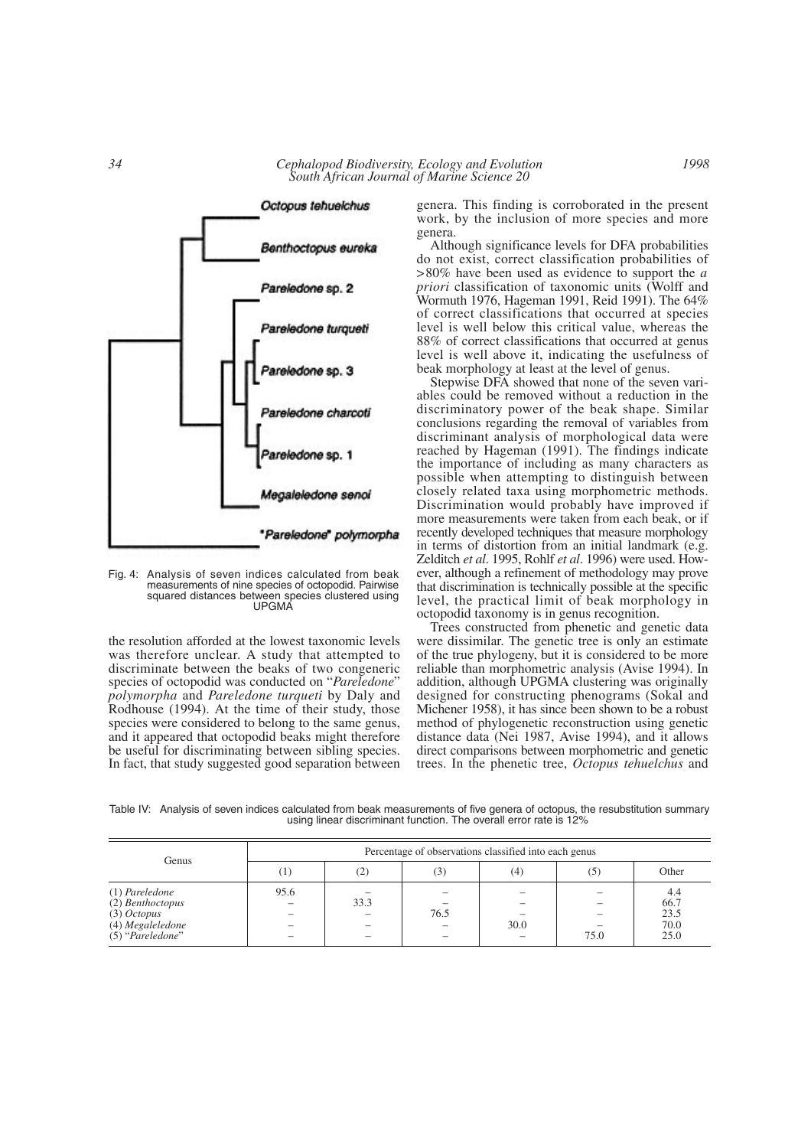



Fig. 4: Analysis of seven indices calculated from beak measurements of nine species of octopodid. Pairwise squared distances between species clustered using UPGMA

the resolution afforded at the lowest taxonomic levels was therefore unclear. A study that attempted to discriminate between the beaks of two congeneric species of octopodid was conducted on "*Pareledone*" *polymorpha* and *Pareledone turqueti* by Daly and Rodhouse (1994). At the time of their study, those species were considered to belong to the same genus, and it appeared that octopodid beaks might therefore be useful for discriminating between sibling species. In fact, that study suggested good separation between

genera. This finding is corroborated in the present work, by the inclusion of more species and more genera.

Although significance levels for DFA probabilities do not exist, correct classification probabilities of >80% have been used as evidence to support the *a priori* classification of taxonomic units (Wolff and Wormuth 1976, Hageman 1991, Reid 1991). The 64% of correct classifications that occurred at species level is well below this critical value, whereas the 88% of correct classifications that occurred at genus level is well above it, indicating the usefulness of beak morphology at least at the level of genus.

Stepwise DFA showed that none of the seven variables could be removed without a reduction in the discriminatory power of the beak shape. Similar conclusions regarding the removal of variables from discriminant analysis of morphological data were reached by Hageman (1991). The findings indicate the importance of including as many characters as possible when attempting to distinguish between closely related taxa using morphometric methods. Discrimination would probably have improved if more measurements were taken from each beak, or if recently developed techniques that measure morphology in terms of distortion from an initial landmark (e.g. Zelditch *et al*. 1995, Rohlf *et al*. 1996) were used. However, although a refinement of methodology may prove that discrimination is technically possible at the specific level, the practical limit of beak morphology in octopodid taxonomy is in genus recognition.

Trees constructed from phenetic and genetic data were dissimilar. The genetic tree is only an estimate of the true phylogeny, but it is considered to be more reliable than morphometric analysis (Avise 1994). In addition, although UPGMA clustering was originally designed for constructing phenograms (Sokal and Michener 1958), it has since been shown to be a robust method of phylogenetic reconstruction using genetic distance data (Nei 1987, Avise 1994), and it allows direct comparisons between morphometric and genetic trees. In the phenetic tree, *Octopus tehuelchus* and

Table IV: Analysis of seven indices calculated from beak measurements of five genera of octopus, the resubstitution summary using linear discriminant function. The overall error rate is 12%

| Genus                                               | Percentage of observations classified into each genus |                                  |      |      |      |                     |  |  |
|-----------------------------------------------------|-------------------------------------------------------|----------------------------------|------|------|------|---------------------|--|--|
|                                                     | $_{(1)}$                                              |                                  | (3)  | (4)  | (5   | Other               |  |  |
| (1) Pareledone<br>(2) Benthoctopus<br>$(3)$ Octopus | 95.6                                                  | 33.3<br>$\overline{\phantom{0}}$ | 76.5 |      |      | 4.4<br>66.7<br>23.5 |  |  |
| (4) Megaleledone<br>(5) "Pareledone"                |                                                       |                                  |      | 30.0 | 75.0 | 70.0<br>25.0        |  |  |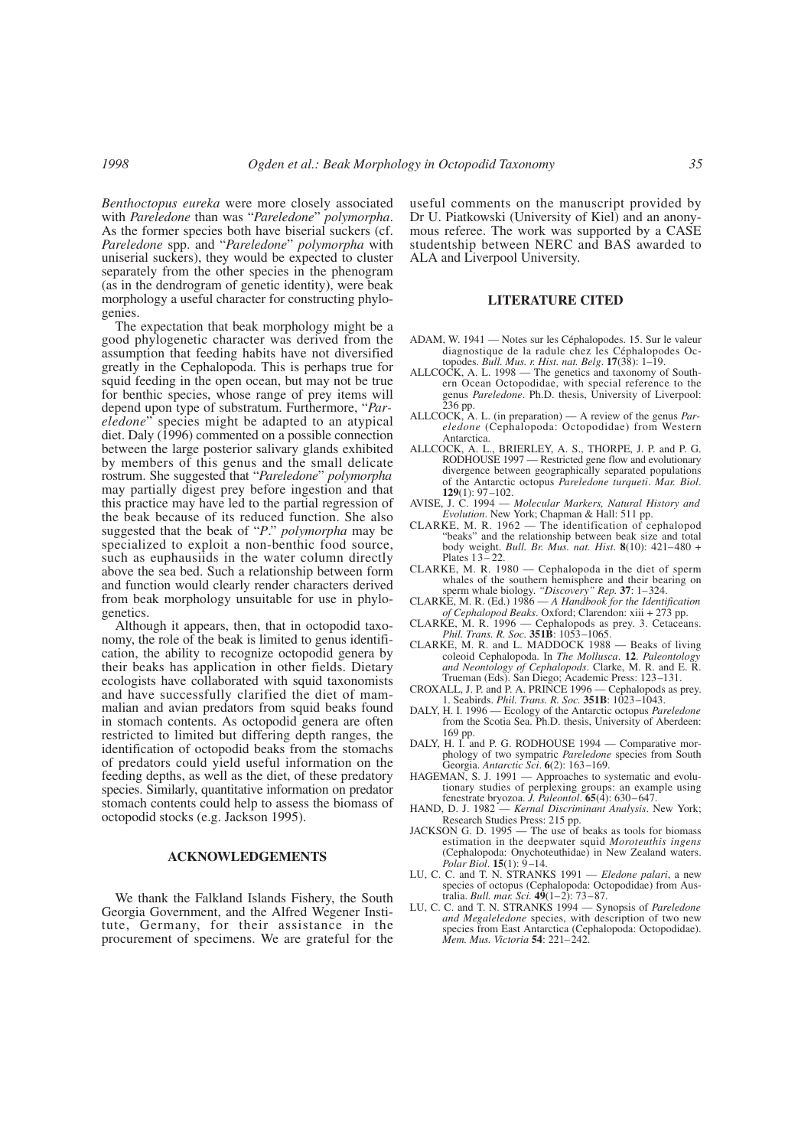*Benthoctopus eureka* were more closely associated with *Pareledone* than was "*Pareledone*" *polymorpha*. As the former species both have biserial suckers (cf. *Pareledone* spp. and "*Pareledone*" *polymorpha* with uniserial suckers), they would be expected to cluster separately from the other species in the phenogram (as in the dendrogram of genetic identity), were beak morphology a useful character for constructing phylogenies.

The expectation that beak morphology might be a good phylogenetic character was derived from the assumption that feeding habits have not diversified greatly in the Cephalopoda. This is perhaps true for squid feeding in the open ocean, but may not be true for benthic species, whose range of prey items will depend upon type of substratum. Furthermore, "*Pareledone*" species might be adapted to an atypical diet. Daly (1996) commented on a possible connection between the large posterior salivary glands exhibited by members of this genus and the small delicate rostrum. She suggested that "*Pareledone*" *polymorpha* may partially digest prey before ingestion and that this practice may have led to the partial regression of the beak because of its reduced function. She also suggested that the beak of "*P*." *polymorpha* may be specialized to exploit a non-benthic food source, such as euphausiids in the water column directly above the sea bed. Such a relationship between form and function would clearly render characters derived from beak morphology unsuitable for use in phylogenetics.

Although it appears, then, that in octopodid taxonomy, the role of the beak is limited to genus identification, the ability to recognize octopodid genera by their beaks has application in other fields. Dietary ecologists have collaborated with squid taxonomists and have successfully clarified the diet of mammalian and avian predators from squid beaks found in stomach contents. As octopodid genera are often restricted to limited but differing depth ranges, the identification of octopodid beaks from the stomachs of predators could yield useful information on the feeding depths, as well as the diet, of these predatory species. Similarly, quantitative information on predator stomach contents could help to assess the biomass of octopodid stocks (e.g. Jackson 1995).

### **ACKNOWLEDGEMENTS**

We thank the Falkland Islands Fishery, the South Georgia Government, and the Alfred Wegener Institute, Germany, for their assistance in the procurement of specimens. We are grateful for the useful comments on the manuscript provided by Dr U. Piatkowski (University of Kiel) and an anonymous referee. The work was supported by a CASE studentship between NERC and BAS awarded to ALA and Liverpool University.

#### **LITERATURE CITED**

- ADAM, W. 1941 Notes sur les Céphalopodes. 15. Sur le valeur diagnostique de la radule chez les Céphalopodes Octopodes. *Bull. Mus. r. Hist. nat. Belg*. **17**(38): 1–19.
- ALLCOCK, A. L. 1998 The genetics and taxonomy of Southern Ocean Octopodidae, with special reference to the genus *Pareledone*. Ph.D. thesis, University of Liverpool: 236 pp.
- ALLCOCK, A. L. (in preparation) A review of the genus *Pareledone* (Cephalopoda: Octopodidae) from Western Antarctica.
- ALLCOCK, A. L., BRIERLEY, A. S., THORPE, J. P. and P. G. RODHOUSE 1997 — Restricted gene flow and evolutionary divergence between geographically separated populations of the Antarctic octopus *Pareledone turqueti*. *Mar. Biol*. **129**(1): 97–102.
- AVISE, J. C. 1994 *Molecular Markers, Natural History and Evolution*. New York; Chapman & Hall: 511 pp.
- CLARKE, M. R. 1962 The identification of cephalopod "beaks" and the relationship between beak size and total body weight. *Bull. Br. Mus. nat. Hist*. **8**(10): 421–480 + Plates 13– 22.
- CLARKE, M. R. 1980 Cephalopoda in the diet of sperm whales of the southern hemisphere and their bearing on sperm whale biology. *"Discovery" Rep.* **37**: 1–324.
- CLARKE, M. R. (Ed.) 1986 *A Handbook for the Identification of Cephalopod Beaks*. Oxford; Clarendon: xiii + 273 pp.
- CLARKE, M. R. 1996 Cephalopods as prey. 3. Cetaceans. *Phil. Trans. R. Soc.* **351B**: 1053–1065.
- CLARKE, M. R. and L. MADDOCK 1988 Beaks of living coleoid Cephalopoda. In *The Mollusca*. **12**. *Paleontology and Neontology of Cephalopods*. Clarke, M. R. and E. R. Trueman (Eds). San Diego; Academic Press: 123–131.
- CROXALL, J. P. and P. A. PRINCE 1996 Cephalopods as prey. 1. Seabirds. *Phil. Trans. R. Soc.* **351B**: 1023–1043.
- DALY, H. I. 1996 Ecology of the Antarctic octopus *Pareledone* from the Scotia Sea. Ph.D. thesis, University of Aberdeen: 169 pp.
- DALY, H. I. and P. G. RODHOUSE 1994 Comparative morphology of two sympatric *Pareledone* species from South Georgia. *Antarctic Sci*. **6**(2): 163–169.
- HAGEMAN, S. J. 1991 Approaches to systematic and evolutionary studies of perplexing groups: an example using fenestrate bryozoa. *J. Paleontol*. **65**(4): 630–647.
- HAND, D. J. 1982 *Kernal Discriminant Analysis*. New York; Research Studies Press: 215 pp.
- JACKSON G. D. 1995 The use of beaks as tools for biomass estimation in the deepwater squid *Moroteuthis ingens* (Cephalopoda: Onychoteuthidae) in New Zealand waters. *Polar Biol*. **15**(1): 9–14.
- LU, C. C. and T. N. STRANKS 1991 *Eledone palari*, a new species of octopus (Cephalopoda: Octopodidae) from Aus-tralia. *Bull. mar. Sci.* **49**(1–2): 73–87.
- LU, C. C. and T. N. STRANKS 1994 Synopsis of *Pareledone and Megaleledone* species, with description of two new species from East Antarctica (Cephalopoda: Octopodidae). *Mem. Mus. Victoria* **54**: 221–242.